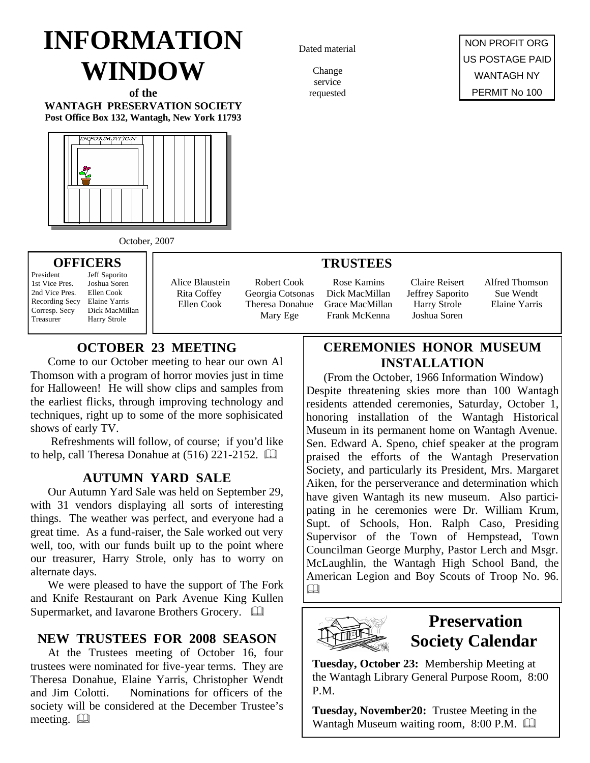# **INFORMATION WINDOW**

**of the WANTAGH PRESERVATION SOCIETY Post Office Box 132, Wantagh, New York 11793**



Dated material

Change service requested

NON PROFIT ORG US POSTAGE PAID WANTAGH NY PERMIT No 100

October, 2007

## **OFFICERS**

President Jeff Saporito 1st Vice Pres. Joshua Soren 2nd Vice Pres. Ellen Cook Recording Secy Elaine Yarris Corresp. Secy Dick MacMillan Treasurer Harry Strole

Alice Blaustein Rita Coffey Ellen Cook

Robert Cook Georgia Cotsonas Theresa Donahue Mary Ege

### **TRUSTEES**

Rose Kamins Dick MacMillan Grace MacMillan Frank McKenna

Claire Reisert Jeffrey Saporito Harry Strole Joshua Soren

Alfred Thomson Sue Wendt Elaine Yarris

# **OCTOBER 23 MEETING**

Come to our October meeting to hear our own Al Thomson with a program of horror movies just in time for Halloween! He will show clips and samples from the earliest flicks, through improving technology and techniques, right up to some of the more sophisicated shows of early TV.

 Refreshments will follow, of course; if you'd like to help, call Theresa Donahue at  $(516)$  221-2152.  $\Box$ 

# **AUTUMN YARD SALE**

Our Autumn Yard Sale was held on September 29, with 31 vendors displaying all sorts of interesting things. The weather was perfect, and everyone had a great time. As a fund-raiser, the Sale worked out very well, too, with our funds built up to the point where our treasurer, Harry Strole, only has to worry on alternate days.

We were pleased to have the support of The Fork and Knife Restaurant on Park Avenue King Kullen Supermarket, and Iavarone Brothers Grocery.  $\Box$ 

# **NEW TRUSTEES FOR 2008 SEASON**

At the Trustees meeting of October 16, four trustees were nominated for five-year terms. They are Theresa Donahue, Elaine Yarris, Christopher Wendt and Jim Colotti. Nominations for officers of the society will be considered at the December Trustee's meeting.  $\square$ 

# **CEREMONIES HONOR MUSEUM INSTALLATION**

(From the October, 1966 Information Window) Despite threatening skies more than 100 Wantagh residents attended ceremonies, Saturday, October 1, honoring installation of the Wantagh Historical Museum in its permanent home on Wantagh Avenue. Sen. Edward A. Speno, chief speaker at the program praised the efforts of the Wantagh Preservation Society, and particularly its President, Mrs. Margaret Aiken, for the perserverance and determination which have given Wantagh its new museum. Also participating in he ceremonies were Dr. William Krum, Supt. of Schools, Hon. Ralph Caso, Presiding Supervisor of the Town of Hempstead, Town Councilman George Murphy, Pastor Lerch and Msgr. McLaughlin, the Wantagh High School Band, the American Legion and Boy Scouts of Troop No. 96.  $\Box$ 



# **Preservation Society Calendar**

**Tuesday, October 23:** Membership Meeting at the Wantagh Library General Purpose Room, 8:00 P.M.

**Tuesday, November20:** Trustee Meeting in the Wantagh Museum waiting room,  $8:00$  P.M.  $\Box$